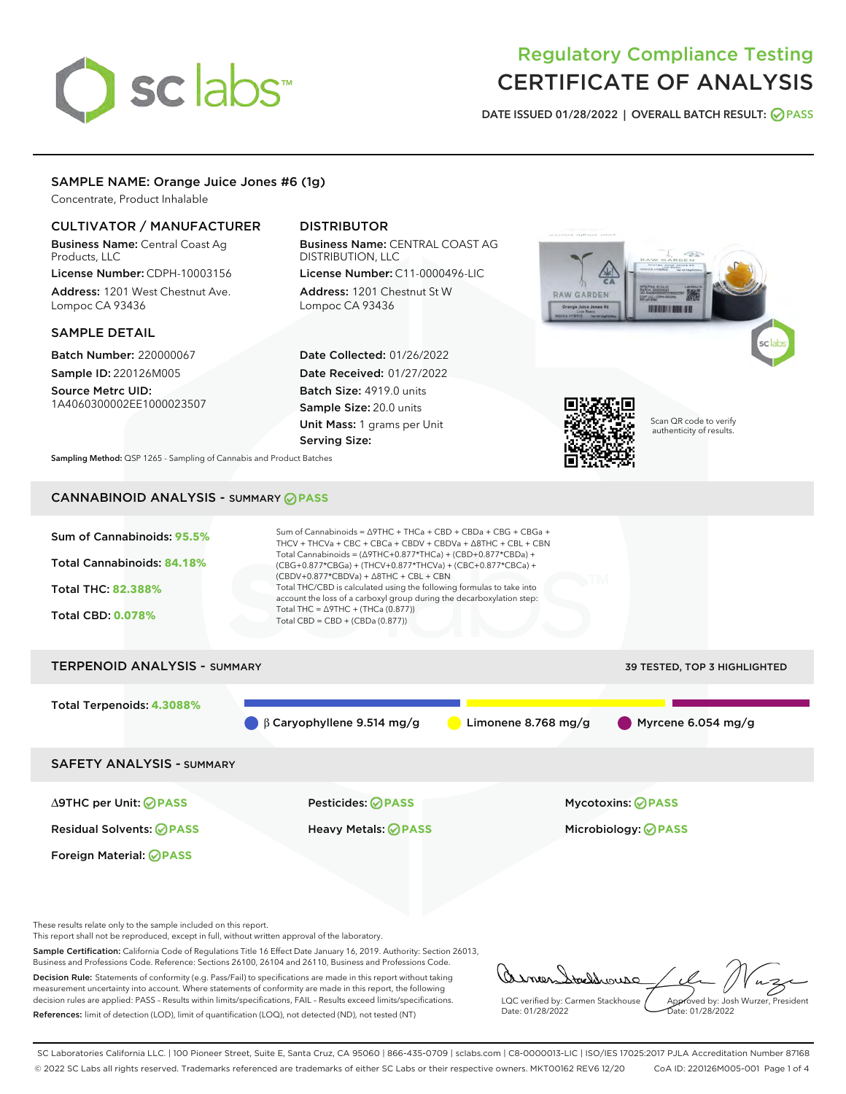# sclabs<sup>\*</sup>

# Regulatory Compliance Testing CERTIFICATE OF ANALYSIS

DATE ISSUED 01/28/2022 | OVERALL BATCH RESULT: @ PASS

# SAMPLE NAME: Orange Juice Jones #6 (1g)

Concentrate, Product Inhalable

## CULTIVATOR / MANUFACTURER

Business Name: Central Coast Ag Products, LLC License Number: CDPH-10003156

Address: 1201 West Chestnut Ave. Lompoc CA 93436

#### SAMPLE DETAIL

Batch Number: 220000067 Sample ID: 220126M005

Source Metrc UID: 1A4060300002EE1000023507

# DISTRIBUTOR

Business Name: CENTRAL COAST AG DISTRIBUTION, LLC License Number: C11-0000496-LIC

Address: 1201 Chestnut St W Lompoc CA 93436

Date Collected: 01/26/2022 Date Received: 01/27/2022 Batch Size: 4919.0 units Sample Size: 20.0 units Unit Mass: 1 grams per Unit Serving Size:





Scan QR code to verify authenticity of results.

Sampling Method: QSP 1265 - Sampling of Cannabis and Product Batches

# CANNABINOID ANALYSIS - SUMMARY **PASS**



These results relate only to the sample included on this report.

This report shall not be reproduced, except in full, without written approval of the laboratory.

Sample Certification: California Code of Regulations Title 16 Effect Date January 16, 2019. Authority: Section 26013, Business and Professions Code. Reference: Sections 26100, 26104 and 26110, Business and Professions Code. Decision Rule: Statements of conformity (e.g. Pass/Fail) to specifications are made in this report without taking

measurement uncertainty into account. Where statements of conformity are made in this report, the following decision rules are applied: PASS – Results within limits/specifications, FAIL – Results exceed limits/specifications. References: limit of detection (LOD), limit of quantification (LOQ), not detected (ND), not tested (NT)

tachnouse LQC verified by: Carmen Stackhouse Approved by: Josh Wurzer, President Date: 01/28/2022 ate: 01/28/2022

SC Laboratories California LLC. | 100 Pioneer Street, Suite E, Santa Cruz, CA 95060 | 866-435-0709 | sclabs.com | C8-0000013-LIC | ISO/IES 17025:2017 PJLA Accreditation Number 87168 © 2022 SC Labs all rights reserved. Trademarks referenced are trademarks of either SC Labs or their respective owners. MKT00162 REV6 12/20 CoA ID: 220126M005-001 Page 1 of 4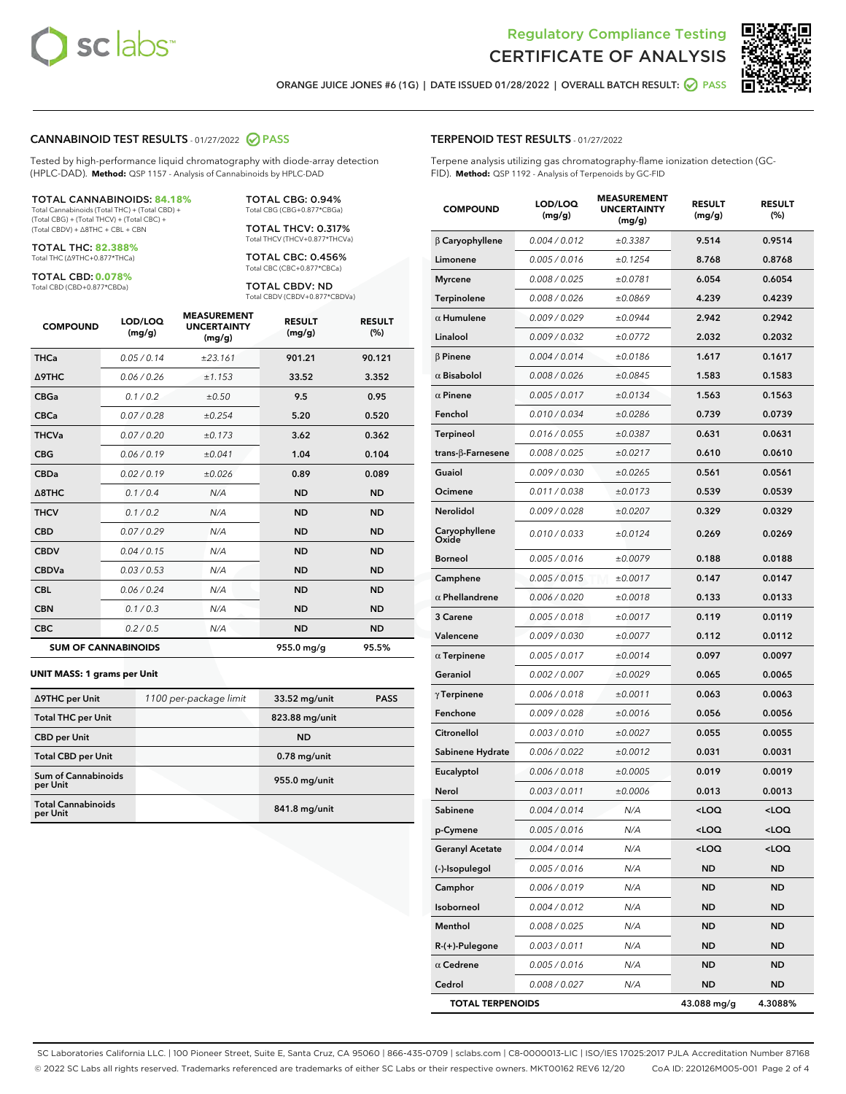



ORANGE JUICE JONES #6 (1G) | DATE ISSUED 01/28/2022 | OVERALL BATCH RESULT: @ PASS

#### CANNABINOID TEST RESULTS - 01/27/2022 2 PASS

Tested by high-performance liquid chromatography with diode-array detection (HPLC-DAD). **Method:** QSP 1157 - Analysis of Cannabinoids by HPLC-DAD

#### TOTAL CANNABINOIDS: **84.18%**

Total Cannabinoids (Total THC) + (Total CBD) + (Total CBG) + (Total THCV) + (Total CBC) + (Total CBDV) + ∆8THC + CBL + CBN

TOTAL THC: **82.388%** Total THC (∆9THC+0.877\*THCa)

TOTAL CBD: **0.078%**

Total CBD (CBD+0.877\*CBDa)

TOTAL CBG: 0.94% Total CBG (CBG+0.877\*CBGa)

TOTAL THCV: 0.317% Total THCV (THCV+0.877\*THCVa)

TOTAL CBC: 0.456% Total CBC (CBC+0.877\*CBCa)

TOTAL CBDV: ND Total CBDV (CBDV+0.877\*CBDVa)

| <b>COMPOUND</b>  | LOD/LOQ<br>(mg/g)          | <b>MEASUREMENT</b><br><b>UNCERTAINTY</b><br>(mg/g) | <b>RESULT</b><br>(mg/g) | <b>RESULT</b><br>(%) |
|------------------|----------------------------|----------------------------------------------------|-------------------------|----------------------|
| <b>THCa</b>      | 0.05/0.14                  | ±23.161                                            | 901.21                  | 90.121               |
| <b>A9THC</b>     | 0.06 / 0.26                | ±1.153                                             | 33.52                   | 3.352                |
| <b>CBGa</b>      | 0.1/0.2                    | ±0.50                                              | 9.5                     | 0.95                 |
| <b>CBCa</b>      | 0.07 / 0.28                | ±0.254                                             | 5.20                    | 0.520                |
| <b>THCVa</b>     | 0.07/0.20                  | ±0.173                                             | 3.62                    | 0.362                |
| <b>CBG</b>       | 0.06/0.19                  | ±0.041                                             | 1.04                    | 0.104                |
| <b>CBDa</b>      | 0.02/0.19                  | ±0.026                                             | 0.89                    | 0.089                |
| $\triangle$ 8THC | 0.1 / 0.4                  | N/A                                                | <b>ND</b>               | <b>ND</b>            |
| <b>THCV</b>      | 0.1/0.2                    | N/A                                                | <b>ND</b>               | <b>ND</b>            |
| <b>CBD</b>       | 0.07/0.29                  | N/A                                                | <b>ND</b>               | <b>ND</b>            |
| <b>CBDV</b>      | 0.04 / 0.15                | N/A                                                | <b>ND</b>               | <b>ND</b>            |
| <b>CBDVa</b>     | 0.03/0.53                  | N/A                                                | <b>ND</b>               | <b>ND</b>            |
| <b>CBL</b>       | 0.06 / 0.24                | N/A                                                | <b>ND</b>               | <b>ND</b>            |
| <b>CBN</b>       | 0.1/0.3                    | N/A                                                | <b>ND</b>               | <b>ND</b>            |
| <b>CBC</b>       | 0.2 / 0.5                  | N/A                                                | <b>ND</b>               | <b>ND</b>            |
|                  | <b>SUM OF CANNABINOIDS</b> |                                                    | 955.0 mg/g              | 95.5%                |

#### **UNIT MASS: 1 grams per Unit**

| ∆9THC per Unit                         | 1100 per-package limit | 33.52 mg/unit  | <b>PASS</b> |
|----------------------------------------|------------------------|----------------|-------------|
| <b>Total THC per Unit</b>              |                        | 823.88 mg/unit |             |
| <b>CBD per Unit</b>                    |                        | <b>ND</b>      |             |
| <b>Total CBD per Unit</b>              |                        | $0.78$ mg/unit |             |
| <b>Sum of Cannabinoids</b><br>per Unit |                        | 955.0 mg/unit  |             |
| <b>Total Cannabinoids</b><br>per Unit  |                        | 841.8 mg/unit  |             |

| <b>COMPOUND</b>         | LOD/LOQ<br>(mg/g) | <b>MEASUREMENT</b><br><b>UNCERTAINTY</b><br>(mg/g) | <b>RESULT</b><br>(mg/g)                         | <b>RESULT</b><br>$(\%)$ |
|-------------------------|-------------------|----------------------------------------------------|-------------------------------------------------|-------------------------|
| $\beta$ Caryophyllene   | 0.004 / 0.012     | ±0.3387                                            | 9.514                                           | 0.9514                  |
| Limonene                | 0.005 / 0.016     | ±0.1254                                            | 8.768                                           | 0.8768                  |
| <b>Myrcene</b>          | 0.008 / 0.025     | ±0.0781                                            | 6.054                                           | 0.6054                  |
| Terpinolene             | 0.008 / 0.026     | ±0.0869                                            | 4.239                                           | 0.4239                  |
| $\alpha$ Humulene       | 0.009 / 0.029     | ±0.0944                                            | 2.942                                           | 0.2942                  |
| Linalool                | 0.009 / 0.032     | ±0.0772                                            | 2.032                                           | 0.2032                  |
| $\beta$ Pinene          | 0.004 / 0.014     | ±0.0186                                            | 1.617                                           | 0.1617                  |
| $\alpha$ Bisabolol      | 0.008 / 0.026     | ±0.0845                                            | 1.583                                           | 0.1583                  |
| $\alpha$ Pinene         | 0.005 / 0.017     | ±0.0134                                            | 1.563                                           | 0.1563                  |
| Fenchol                 | 0.010 / 0.034     | ±0.0286                                            | 0.739                                           | 0.0739                  |
| Terpineol               | 0.016 / 0.055     | ±0.0387                                            | 0.631                                           | 0.0631                  |
| trans-β-Farnesene       | 0.008 / 0.025     | ±0.0217                                            | 0.610                                           | 0.0610                  |
| Guaiol                  | 0.009 / 0.030     | ±0.0265                                            | 0.561                                           | 0.0561                  |
| Ocimene                 | 0.011 / 0.038     | ±0.0173                                            | 0.539                                           | 0.0539                  |
| Nerolidol               | 0.009 / 0.028     | ±0.0207                                            | 0.329                                           | 0.0329                  |
| Caryophyllene<br>Oxide  | 0.010 / 0.033     | ±0.0124                                            | 0.269                                           | 0.0269                  |
| <b>Borneol</b>          | 0.005 / 0.016     | ±0.0079                                            | 0.188                                           | 0.0188                  |
| Camphene                | 0.005 / 0.015     | ±0.0017                                            | 0.147                                           | 0.0147                  |
| $\alpha$ Phellandrene   | 0.006 / 0.020     | ±0.0018                                            | 0.133                                           | 0.0133                  |
| 3 Carene                | 0.005 / 0.018     | ±0.0017                                            | 0.119                                           | 0.0119                  |
| Valencene               | 0.009 / 0.030     | ±0.0077                                            | 0.112                                           | 0.0112                  |
| $\alpha$ Terpinene      | 0.005 / 0.017     | ±0.0014                                            | 0.097                                           | 0.0097                  |
| Geraniol                | 0.002 / 0.007     | ±0.0029                                            | 0.065                                           | 0.0065                  |
| $\gamma$ Terpinene      | 0.006 / 0.018     | ±0.0011                                            | 0.063                                           | 0.0063                  |
| Fenchone                | 0.009 / 0.028     | ±0.0016                                            | 0.056                                           | 0.0056                  |
| Citronellol             | 0.003 / 0.010     | ±0.0027                                            | 0.055                                           | 0.0055                  |
| Sabinene Hydrate        | 0.006 / 0.022     | ±0.0012                                            | 0.031                                           | 0.0031                  |
| Eucalyptol              | 0.006 / 0.018     | ±0.0005                                            | 0.019                                           | 0.0019                  |
| Nerol                   | 0.003 / 0.011     | ±0.0006                                            | 0.013                                           | 0.0013                  |
| Sabinene                | 0.004 / 0.014     | N/A                                                | <loq< th=""><th><loq< th=""></loq<></th></loq<> | <loq< th=""></loq<>     |
| p-Cymene                | 0.005 / 0.016     | N/A                                                | <loq< th=""><th>100</th></loq<>                 | 100                     |
| <b>Geranyl Acetate</b>  | 0.004 / 0.014     | N/A                                                | <loq< th=""><th><loq< th=""></loq<></th></loq<> | <loq< th=""></loq<>     |
| (-)-Isopulegol          | 0.005 / 0.016     | N/A                                                | ND                                              | ND                      |
| Camphor                 | 0.006 / 0.019     | N/A                                                | <b>ND</b>                                       | ND                      |
| Isoborneol              | 0.004 / 0.012     | N/A                                                | ND                                              | ND                      |
| Menthol                 | 0.008 / 0.025     | N/A                                                | ND                                              | ND                      |
| R-(+)-Pulegone          | 0.003 / 0.011     | N/A                                                | <b>ND</b>                                       | ND                      |
| $\alpha$ Cedrene        | 0.005 / 0.016     | N/A                                                | ND                                              | ND                      |
| Cedrol                  | 0.008 / 0.027     | N/A                                                | <b>ND</b>                                       | ND                      |
| <b>TOTAL TERPENOIDS</b> |                   |                                                    | 43.088 mg/g                                     | 4.3088%                 |

SC Laboratories California LLC. | 100 Pioneer Street, Suite E, Santa Cruz, CA 95060 | 866-435-0709 | sclabs.com | C8-0000013-LIC | ISO/IES 17025:2017 PJLA Accreditation Number 87168 © 2022 SC Labs all rights reserved. Trademarks referenced are trademarks of either SC Labs or their respective owners. MKT00162 REV6 12/20 CoA ID: 220126M005-001 Page 2 of 4

## TERPENOID TEST RESULTS - 01/27/2022

Terpene analysis utilizing gas chromatography-flame ionization detection (GC-FID). **Method:** QSP 1192 - Analysis of Terpenoids by GC-FID

MEASUREMENT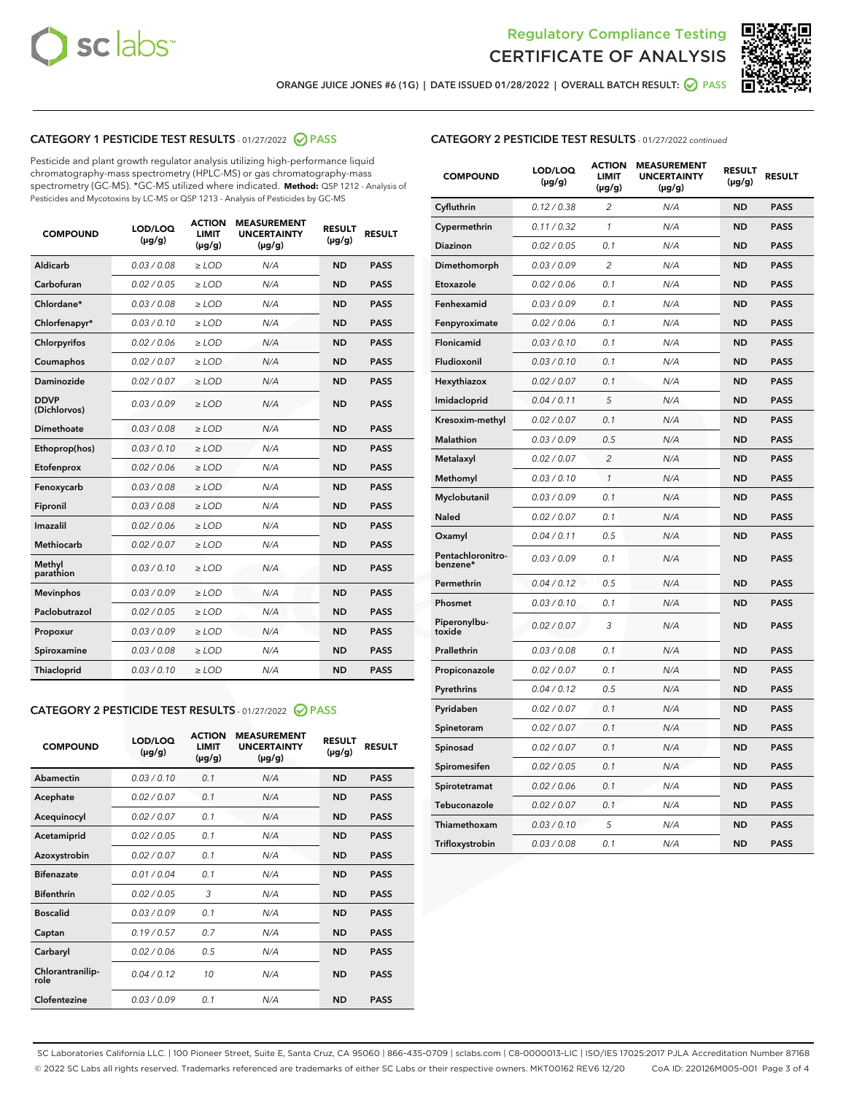



ORANGE JUICE JONES #6 (1G) | DATE ISSUED 01/28/2022 | OVERALL BATCH RESULT: @ PASS

# CATEGORY 1 PESTICIDE TEST RESULTS - 01/27/2022 2 PASS

Pesticide and plant growth regulator analysis utilizing high-performance liquid chromatography-mass spectrometry (HPLC-MS) or gas chromatography-mass spectrometry (GC-MS). \*GC-MS utilized where indicated. **Method:** QSP 1212 - Analysis of Pesticides and Mycotoxins by LC-MS or QSP 1213 - Analysis of Pesticides by GC-MS

| <b>COMPOUND</b>             | LOD/LOQ<br>$(\mu g/g)$ | <b>ACTION</b><br>LIMIT<br>$(\mu g/g)$ | <b>MEASUREMENT</b><br><b>UNCERTAINTY</b><br>$(\mu g/g)$ | <b>RESULT</b><br>$(\mu g/g)$ | <b>RESULT</b> |
|-----------------------------|------------------------|---------------------------------------|---------------------------------------------------------|------------------------------|---------------|
| Aldicarb                    | 0.03/0.08              | $\ge$ LOD                             | N/A                                                     | <b>ND</b>                    | <b>PASS</b>   |
| Carbofuran                  | 0.02 / 0.05            | $>$ LOD                               | N/A                                                     | <b>ND</b>                    | <b>PASS</b>   |
| Chlordane*                  | 0.03 / 0.08            | $\ge$ LOD                             | N/A                                                     | <b>ND</b>                    | <b>PASS</b>   |
| Chlorfenapyr*               | 0.03/0.10              | $\ge$ LOD                             | N/A                                                     | <b>ND</b>                    | <b>PASS</b>   |
| Chlorpyrifos                | 0.02 / 0.06            | $\ge$ LOD                             | N/A                                                     | <b>ND</b>                    | <b>PASS</b>   |
| Coumaphos                   | 0.02 / 0.07            | $\ge$ LOD                             | N/A                                                     | <b>ND</b>                    | <b>PASS</b>   |
| Daminozide                  | 0.02/0.07              | $>$ LOD                               | N/A                                                     | <b>ND</b>                    | <b>PASS</b>   |
| <b>DDVP</b><br>(Dichlorvos) | 0.03/0.09              | $\geq$ LOD                            | N/A                                                     | <b>ND</b>                    | <b>PASS</b>   |
| <b>Dimethoate</b>           | 0.03 / 0.08            | $\ge$ LOD                             | N/A                                                     | <b>ND</b>                    | <b>PASS</b>   |
| Ethoprop(hos)               | 0.03/0.10              | $\geq$ LOD                            | N/A                                                     | <b>ND</b>                    | <b>PASS</b>   |
| Etofenprox                  | 0.02/0.06              | $>$ LOD                               | N/A                                                     | <b>ND</b>                    | <b>PASS</b>   |
| Fenoxycarb                  | 0.03 / 0.08            | $\ge$ LOD                             | N/A                                                     | <b>ND</b>                    | <b>PASS</b>   |
| Fipronil                    | 0.03 / 0.08            | $\ge$ LOD                             | N/A                                                     | <b>ND</b>                    | <b>PASS</b>   |
| Imazalil                    | 0.02 / 0.06            | $\geq$ LOD                            | N/A                                                     | <b>ND</b>                    | <b>PASS</b>   |
| Methiocarb                  | 0.02 / 0.07            | $\ge$ LOD                             | N/A                                                     | <b>ND</b>                    | <b>PASS</b>   |
| Methyl<br>parathion         | 0.03/0.10              | $\geq$ LOD                            | N/A                                                     | <b>ND</b>                    | <b>PASS</b>   |
| <b>Mevinphos</b>            | 0.03/0.09              | $>$ LOD                               | N/A                                                     | <b>ND</b>                    | <b>PASS</b>   |
| Paclobutrazol               | 0.02 / 0.05            | $\ge$ LOD                             | N/A                                                     | <b>ND</b>                    | <b>PASS</b>   |
| Propoxur                    | 0.03/0.09              | $\ge$ LOD                             | N/A                                                     | <b>ND</b>                    | <b>PASS</b>   |
| Spiroxamine                 | 0.03 / 0.08            | $\ge$ LOD                             | N/A                                                     | <b>ND</b>                    | <b>PASS</b>   |
| Thiacloprid                 | 0.03/0.10              | $\geq$ LOD                            | N/A                                                     | <b>ND</b>                    | <b>PASS</b>   |
|                             |                        |                                       |                                                         |                              |               |

#### CATEGORY 2 PESTICIDE TEST RESULTS - 01/27/2022 2 PASS

| <b>COMPOUND</b>          | LOD/LOO<br>$(\mu g/g)$ | <b>ACTION</b><br>LIMIT<br>$(\mu g/g)$ | <b>MEASUREMENT</b><br><b>UNCERTAINTY</b><br>$(\mu g/g)$ | <b>RESULT</b><br>$(\mu g/g)$ | <b>RESULT</b> |
|--------------------------|------------------------|---------------------------------------|---------------------------------------------------------|------------------------------|---------------|
| Abamectin                | 0.03/0.10              | 0.1                                   | N/A                                                     | <b>ND</b>                    | <b>PASS</b>   |
| Acephate                 | 0.02/0.07              | 0.1                                   | N/A                                                     | <b>ND</b>                    | <b>PASS</b>   |
| Acequinocyl              | 0.02/0.07              | 0.1                                   | N/A                                                     | <b>ND</b>                    | <b>PASS</b>   |
| Acetamiprid              | 0.02/0.05              | 0.1                                   | N/A                                                     | <b>ND</b>                    | <b>PASS</b>   |
| Azoxystrobin             | 0.02/0.07              | 0.1                                   | N/A                                                     | <b>ND</b>                    | <b>PASS</b>   |
| <b>Bifenazate</b>        | 0.01 / 0.04            | 0.1                                   | N/A                                                     | <b>ND</b>                    | <b>PASS</b>   |
| <b>Bifenthrin</b>        | 0.02/0.05              | 3                                     | N/A                                                     | <b>ND</b>                    | <b>PASS</b>   |
| <b>Boscalid</b>          | 0.03/0.09              | 0.1                                   | N/A                                                     | <b>ND</b>                    | <b>PASS</b>   |
| Captan                   | 0.19/0.57              | 0.7                                   | N/A                                                     | <b>ND</b>                    | <b>PASS</b>   |
| Carbaryl                 | 0.02/0.06              | 0.5                                   | N/A                                                     | <b>ND</b>                    | <b>PASS</b>   |
| Chlorantranilip-<br>role | 0.04/0.12              | 10                                    | N/A                                                     | <b>ND</b>                    | <b>PASS</b>   |
| Clofentezine             | 0.03/0.09              | 0.1                                   | N/A                                                     | <b>ND</b>                    | <b>PASS</b>   |

# CATEGORY 2 PESTICIDE TEST RESULTS - 01/27/2022 continued

| <b>COMPOUND</b>               | LOD/LOQ<br>(µg/g) | <b>ACTION</b><br><b>LIMIT</b><br>$(\mu g/g)$ | <b>MEASUREMENT</b><br><b>UNCERTAINTY</b><br>$(\mu g/g)$ | <b>RESULT</b><br>(µg/g) | <b>RESULT</b> |
|-------------------------------|-------------------|----------------------------------------------|---------------------------------------------------------|-------------------------|---------------|
| Cyfluthrin                    | 0.12 / 0.38       | $\overline{c}$                               | N/A                                                     | ND                      | <b>PASS</b>   |
| Cypermethrin                  | 0.11 / 0.32       | $\mathcal{I}$                                | N/A                                                     | ND                      | PASS          |
| <b>Diazinon</b>               | 0.02 / 0.05       | 0.1                                          | N/A                                                     | <b>ND</b>               | <b>PASS</b>   |
| Dimethomorph                  | 0.03 / 0.09       | 2                                            | N/A                                                     | ND                      | PASS          |
| Etoxazole                     | 0.02 / 0.06       | 0.1                                          | N/A                                                     | ND                      | <b>PASS</b>   |
| Fenhexamid                    | 0.03 / 0.09       | 0.1                                          | N/A                                                     | ND                      | <b>PASS</b>   |
| Fenpyroximate                 | 0.02 / 0.06       | 0.1                                          | N/A                                                     | <b>ND</b>               | <b>PASS</b>   |
| Flonicamid                    | 0.03 / 0.10       | 0.1                                          | N/A                                                     | ND                      | <b>PASS</b>   |
| Fludioxonil                   | 0.03 / 0.10       | 0.1                                          | N/A                                                     | ND                      | <b>PASS</b>   |
| Hexythiazox                   | 0.02 / 0.07       | 0.1                                          | N/A                                                     | ND                      | <b>PASS</b>   |
| Imidacloprid                  | 0.04 / 0.11       | 5                                            | N/A                                                     | ND                      | <b>PASS</b>   |
| Kresoxim-methyl               | 0.02 / 0.07       | 0.1                                          | N/A                                                     | ND                      | <b>PASS</b>   |
| Malathion                     | 0.03 / 0.09       | 0.5                                          | N/A                                                     | ND                      | <b>PASS</b>   |
| Metalaxyl                     | 0.02 / 0.07       | $\overline{c}$                               | N/A                                                     | ND                      | <b>PASS</b>   |
| Methomyl                      | 0.03 / 0.10       | $\mathbf{1}$                                 | N/A                                                     | ND                      | <b>PASS</b>   |
| Myclobutanil                  | 0.03 / 0.09       | 0.1                                          | N/A                                                     | <b>ND</b>               | <b>PASS</b>   |
| Naled                         | 0.02 / 0.07       | 0.1                                          | N/A                                                     | ND                      | <b>PASS</b>   |
| Oxamyl                        | 0.04 / 0.11       | 0.5                                          | N/A                                                     | ND                      | PASS          |
| Pentachloronitro-<br>benzene* | 0.03 / 0.09       | 0.1                                          | N/A                                                     | ND                      | <b>PASS</b>   |
| Permethrin                    | 0.04 / 0.12       | 0.5                                          | N/A                                                     | ND                      | <b>PASS</b>   |
| Phosmet                       | 0.03 / 0.10       | 0.1                                          | N/A                                                     | ND                      | <b>PASS</b>   |
| Piperonylbu-<br>toxide        | 0.02 / 0.07       | 3                                            | N/A                                                     | <b>ND</b>               | <b>PASS</b>   |
| Prallethrin                   | 0.03 / 0.08       | 0.1                                          | N/A                                                     | ND                      | <b>PASS</b>   |
| Propiconazole                 | 0.02 / 0.07       | 0.1                                          | N/A                                                     | <b>ND</b>               | <b>PASS</b>   |
| Pyrethrins                    | 0.04 / 0.12       | 0.5                                          | N/A                                                     | ND                      | PASS          |
| Pyridaben                     | 0.02 / 0.07       | 0.1                                          | N/A                                                     | <b>ND</b>               | <b>PASS</b>   |
| Spinetoram                    | 0.02 / 0.07       | 0.1                                          | N/A                                                     | ND                      | <b>PASS</b>   |
| Spinosad                      | 0.02 / 0.07       | 0.1                                          | N/A                                                     | ND                      | PASS          |
| Spiromesifen                  | 0.02 / 0.05       | 0.1                                          | N/A                                                     | <b>ND</b>               | <b>PASS</b>   |
| Spirotetramat                 | 0.02 / 0.06       | 0.1                                          | N/A                                                     | ND                      | <b>PASS</b>   |
| Tebuconazole                  | 0.02 / 0.07       | 0.1                                          | N/A                                                     | ND                      | <b>PASS</b>   |
| Thiamethoxam                  | 0.03 / 0.10       | 5                                            | N/A                                                     | <b>ND</b>               | <b>PASS</b>   |
| Trifloxystrobin               | 0.03 / 0.08       | 0.1                                          | N/A                                                     | <b>ND</b>               | <b>PASS</b>   |

SC Laboratories California LLC. | 100 Pioneer Street, Suite E, Santa Cruz, CA 95060 | 866-435-0709 | sclabs.com | C8-0000013-LIC | ISO/IES 17025:2017 PJLA Accreditation Number 87168 © 2022 SC Labs all rights reserved. Trademarks referenced are trademarks of either SC Labs or their respective owners. MKT00162 REV6 12/20 CoA ID: 220126M005-001 Page 3 of 4